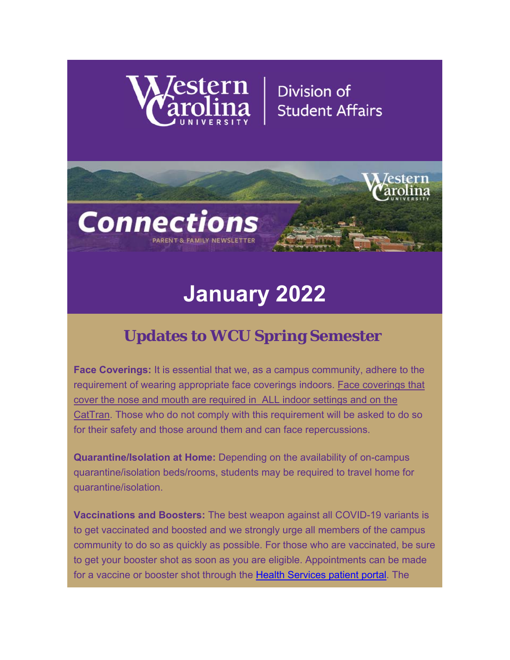

**Connections** 

Division of **Student Affairs** 



### **Updates to WCU Spring Semester**

**Face Coverings:** It is essential that we, as a campus community, adhere to the requirement of wearing appropriate face coverings indoors. Face coverings that cover the nose and mouth are required in ALL indoor settings and on the CatTran. Those who do not comply with this requirement will be asked to do so for their safety and those around them and can face repercussions.

**Quarantine/Isolation at Home:** Depending on the availability of on-campus quarantine/isolation beds/rooms, students may be required to travel home for quarantine/isolation.

**Vaccinations and Boosters:** The best weapon against all COVID-19 variants is to get vaccinated and boosted and we strongly urge all members of the campus community to do so as quickly as possible. For those who are vaccinated, be sure to get your booster shot as soon as you are eligible. Appointments can be made for a vaccine or booster shot through the Health Services patient portal. The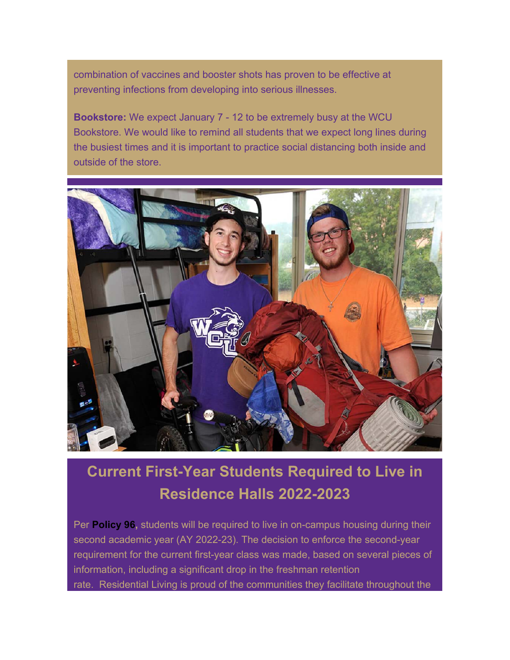combination of vaccines and booster shots has proven to be effective at preventing infections from developing into serious illnesses.

**Bookstore:** We expect January 7 - 12 to be extremely busy at the WCU Bookstore. We would like to remind all students that we expect long lines during the busiest times and it is important to practice social distancing both inside and outside of the store.



## **Current First-Year Students Required to Live in Residence Halls 2022-2023**

Per **Policy 96,** students will be required to live in on-campus housing during their second academic year (AY 2022-23). The decision to enforce the second-year requirement for the current first-year class was made, based on several pieces of information, including a significant drop in the freshman retention rate. Residential Living is proud of the communities they facilitate throughout the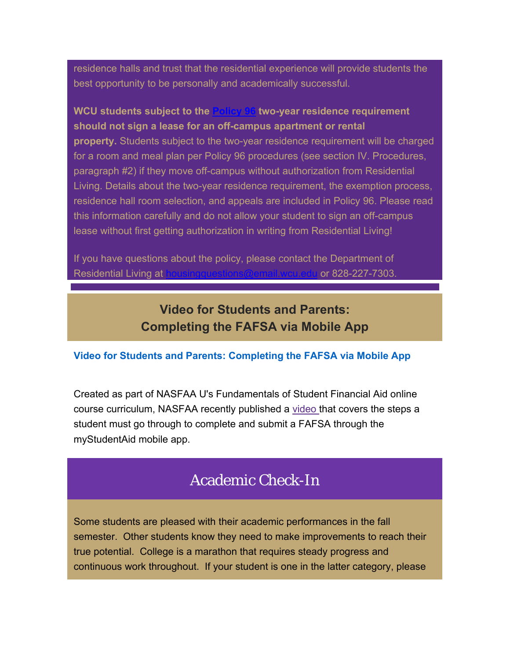residence halls and trust that the residential experience will provide students the best opportunity to be personally and academically successful.

#### **WCU students subject to the Policy 96 two-year residence requirement should not sign a lease for an off-campus apartment or rental property.** Students subject to the two-year residence requirement will be charged for a room and meal plan per Policy 96 procedures (see section IV. Procedures, paragraph #2) if they move off-campus without authorization from Residential Living. Details about the two-year residence requirement, the exemption process, residence hall room selection, and appeals are included in Policy 96. Please read this information carefully and do not allow your student to sign an off-campus lease without first getting authorization in writing from Residential Living!

If you have questions about the policy, please contact the Department of Residential Living at housingquestions@email.wcu.edu or 828-227-7303.

#### **Video for Students and Parents: Completing the FAFSA via Mobile App**

**Video for Students and Parents: Completing the FAFSA via Mobile App**

Created as part of NASFAA U's Fundamentals of Student Financial Aid online course curriculum, NASFAA recently published a video that covers the steps a student must go through to complete and submit a FAFSA through the myStudentAid mobile app.

### Academic Check-In

Some students are pleased with their academic performances in the fall semester. Other students know they need to make improvements to reach their true potential. College is a marathon that requires steady progress and continuous work throughout. If your student is one in the latter category, please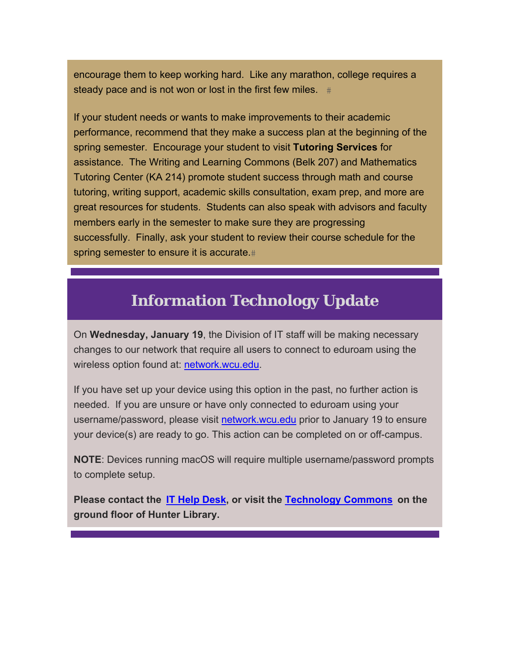encourage them to keep working hard. Like any marathon, college requires a steady pace and is not won or lost in the first few miles.  $#$ 

If your student needs or wants to make improvements to their academic performance, recommend that they make a success plan at the beginning of the spring semester. Encourage your student to visit **Tutoring Services** for assistance. The Writing and Learning Commons (Belk 207) and Mathematics Tutoring Center (KA 214) promote student success through math and course tutoring, writing support, academic skills consultation, exam prep, and more are great resources for students. Students can also speak with advisors and faculty members early in the semester to make sure they are progressing successfully. Finally, ask your student to review their course schedule for the spring semester to ensure it is accurate.

#### **Information Technology Update**

On **Wednesday, January 19**, the Division of IT staff will be making necessary changes to our network that require all users to connect to eduroam using the wireless option found at: network.wcu.edu.

If you have set up your device using this option in the past, no further action is needed. If you are unsure or have only connected to eduroam using your username/password, please visit network.wcu.edu prior to January 19 to ensure your device(s) are ready to go. This action can be completed on or off-campus.

**NOTE**: Devices running macOS will require multiple username/password prompts to complete setup.

**Please contact the  IT Help Desk, or visit the Technology Commons  on the ground floor of Hunter Library.**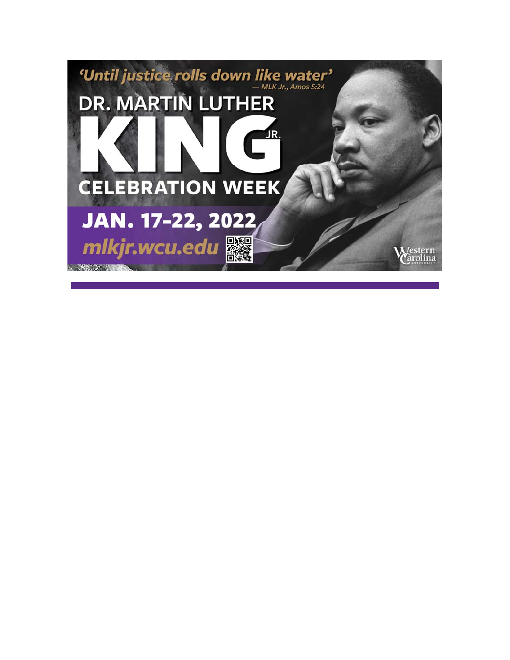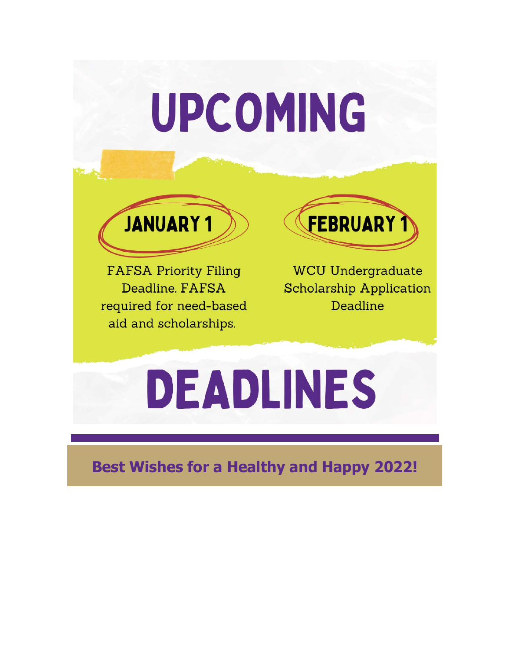# UPCOMING



**FAFSA Priority Filing** Deadline, FAFSA required for need-based aid and scholarships.



**WCU Undergraduate Scholarship Application** Deadline

# DEADLINES

**Best Wishes for a Healthy and Happy 2022!**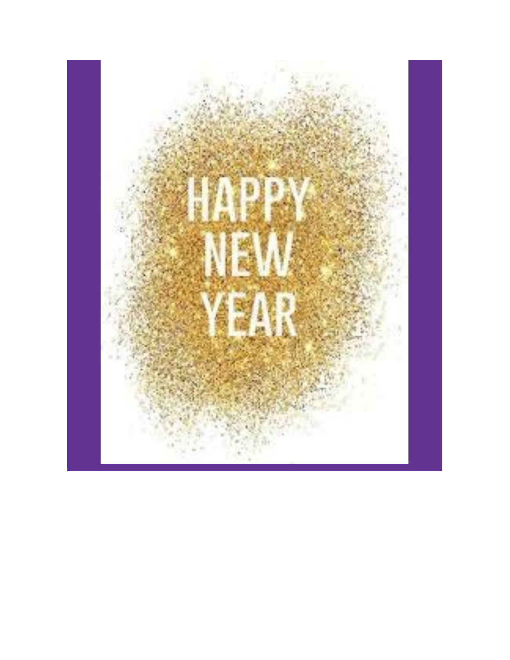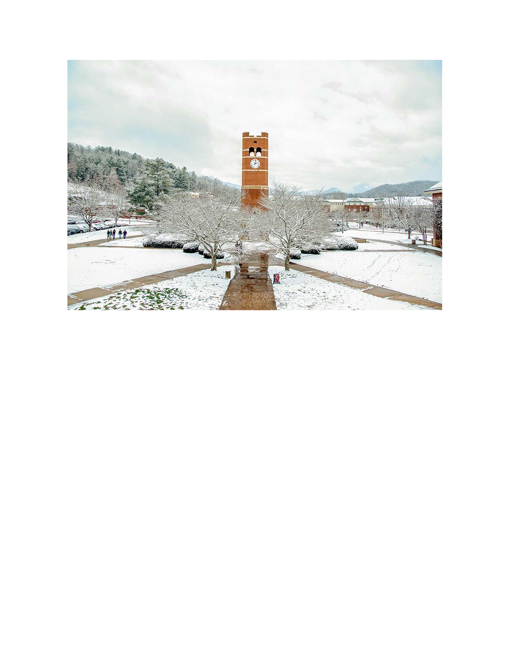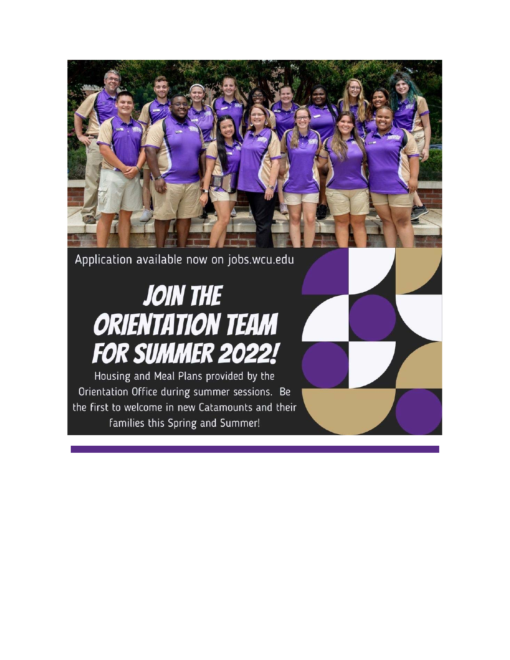Application available now on jobs.wcu.edu

# **JOIN THE ORIENTATION TEAM** FOR SUMMER 2022!

Housing and Meal Plans provided by the Orientation Office during summer sessions. Be the first to welcome in new Catamounts and their families this Spring and Summer!